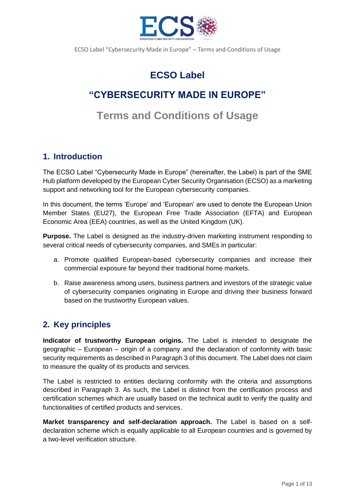

# **ECSO Label**

## **"CYBERSECURITY MADE IN EUROPE"**

# **Terms and Conditions of Usage**

### **1. Introduction**

The ECSO Label "Cybersecurity Made in Europe" (hereinafter, the Label) is part of the SME Hub platform developed by the European Cyber Security Organisation (ECSO) as a marketing support and networking tool for the European cybersecurity companies.

In this document, the terms 'Europe' and 'European' are used to denote the European Union Member States (EU27), the European Free Trade Association (EFTA) and European Economic Area (EEA) countries, as well as the United Kingdom (UK).

**Purpose.** The Label is designed as the industry-driven marketing instrument responding to several critical needs of cybersecurity companies, and SMEs in particular:

- a. Promote qualified European-based cybersecurity companies and increase their commercial exposure far beyond their traditional home markets.
- b. Raise awareness among users, business partners and investors of the strategic value of cybersecurity companies originating in Europe and driving their business forward based on the trustworthy European values.

### **2. Key principles**

**Indicator of trustworthy European origins.** The Label is intended to designate the geographic – European – origin of a company and the declaration of conformity with basic security requirements as described in Paragraph 3 of this document. The Label does not claim to measure the quality of its products and services.

The Label is restricted to entities declaring conformity with the criteria and assumptions described in Paragraph 3. As such, the Label is distinct from the certification process and certification schemes which are usually based on the technical audit to verify the quality and functionalities of certified products and services.

**Market transparency and self-declaration approach.** The Label is based on a selfdeclaration scheme which is equally applicable to all European countries and is governed by a two-level verification structure.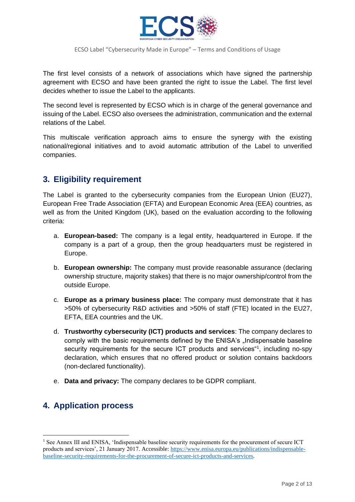

The first level consists of a network of associations which have signed the partnership agreement with ECSO and have been granted the right to issue the Label. The first level decides whether to issue the Label to the applicants.

The second level is represented by ECSO which is in charge of the general governance and issuing of the Label. ECSO also oversees the administration, communication and the external relations of the Label.

This multiscale verification approach aims to ensure the synergy with the existing national/regional initiatives and to avoid automatic attribution of the Label to unverified companies.

### **3. Eligibility requirement**

The Label is granted to the cybersecurity companies from the European Union (EU27), European Free Trade Association (EFTA) and European Economic Area (EEA) countries, as well as from the United Kingdom (UK), based on the evaluation according to the following criteria:

- a. **European-based:** The company is a legal entity, headquartered in Europe. If the company is a part of a group, then the group headquarters must be registered in Europe.
- b. **European ownership:** The company must provide reasonable assurance (declaring ownership structure, majority stakes) that there is no major ownership/control from the outside Europe.
- c. **Europe as a primary business place:** The company must demonstrate that it has >50% of cybersecurity R&D activities and >50% of staff (FTE) located in the EU27, EFTA, EEA countries and the UK.
- d. **Trustworthy cybersecurity (ICT) products and services**: The company declares to comply with the basic requirements defined by the ENISA's "Indispensable baseline security requirements for the secure ICT products and services<sup>41</sup>, including no-spy declaration, which ensures that no offered product or solution contains backdoors (non-declared functionality).
- e. **Data and privacy:** The company declares to be GDPR compliant.

### **4. Application process**

<sup>&</sup>lt;sup>1</sup> See Annex III and ENISA, 'Indispensable baseline security requirements for the procurement of secure ICT products and services', 21 January 2017. Accessible: [https://www.enisa.europa.eu/publications/indispensable](https://www.enisa.europa.eu/publications/indispensable-baseline-security-requirements-for-the-procurement-of-secure-ict-products-and-services)[baseline-security-requirements-for-the-procurement-of-secure-ict-products-and-services.](https://www.enisa.europa.eu/publications/indispensable-baseline-security-requirements-for-the-procurement-of-secure-ict-products-and-services)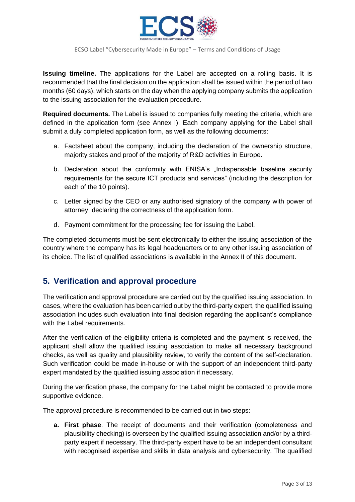

**Issuing timeline.** The applications for the Label are accepted on a rolling basis. It is recommended that the final decision on the application shall be issued within the period of two months (60 days), which starts on the day when the applying company submits the application to the issuing association for the evaluation procedure.

**Required documents.** The Label is issued to companies fully meeting the criteria, which are defined in the application form (see Annex I). Each company applying for the Label shall submit a duly completed application form, as well as the following documents:

- a. Factsheet about the company, including the declaration of the ownership structure, majority stakes and proof of the majority of R&D activities in Europe.
- b. Declaration about the conformity with ENISA's "Indispensable baseline security requirements for the secure ICT products and services" (including the description for each of the 10 points).
- c. Letter signed by the CEO or any authorised signatory of the company with power of attorney, declaring the correctness of the application form.
- d. Payment commitment for the processing fee for issuing the Label.

The completed documents must be sent electronically to either the issuing association of the country where the company has its legal headquarters or to any other issuing association of its choice. The list of qualified associations is available in the Annex II of this document.

### **5. Verification and approval procedure**

The verification and approval procedure are carried out by the qualified issuing association. In cases, where the evaluation has been carried out by the third-party expert, the qualified issuing association includes such evaluation into final decision regarding the applicant's compliance with the Label requirements.

After the verification of the eligibility criteria is completed and the payment is received, the applicant shall allow the qualified issuing association to make all necessary background checks, as well as quality and plausibility review, to verify the content of the self-declaration. Such verification could be made in-house or with the support of an independent third-party expert mandated by the qualified issuing association if necessary.

During the verification phase, the company for the Label might be contacted to provide more supportive evidence.

The approval procedure is recommended to be carried out in two steps:

**a. First phase**. The receipt of documents and their verification (completeness and plausibility checking) is overseen by the qualified issuing association and/or by a thirdparty expert if necessary. The third-party expert have to be an independent consultant with recognised expertise and skills in data analysis and cybersecurity. The qualified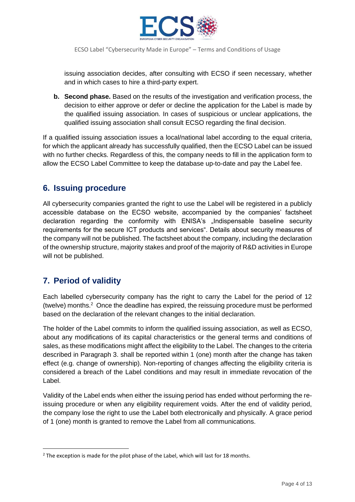

issuing association decides, after consulting with ECSO if seen necessary, whether and in which cases to hire a third-party expert.

**b. Second phase.** Based on the results of the investigation and verification process, the decision to either approve or defer or decline the application for the Label is made by the qualified issuing association. In cases of suspicious or unclear applications, the qualified issuing association shall consult ECSO regarding the final decision.

If a qualified issuing association issues a local/national label according to the equal criteria, for which the applicant already has successfully qualified, then the ECSO Label can be issued with no further checks. Regardless of this, the company needs to fill in the application form to allow the ECSO Label Committee to keep the database up-to-date and pay the Label fee.

### **6. Issuing procedure**

All cybersecurity companies granted the right to use the Label will be registered in a publicly accessible database on the ECSO website, accompanied by the companies' factsheet declaration regarding the conformity with ENISA's "Indispensable baseline security requirements for the secure ICT products and services". Details about security measures of the company will not be published. The factsheet about the company, including the declaration of the ownership structure, majority stakes and proof of the majority of R&D activities in Europe will not be published.

### **7. Period of validity**

Each labelled cybersecurity company has the right to carry the Label for the period of 12 (twelve) months.<sup>2</sup> Once the deadline has expired, the reissuing procedure must be performed based on the declaration of the relevant changes to the initial declaration.

The holder of the Label commits to inform the qualified issuing association, as well as ECSO, about any modifications of its capital characteristics or the general terms and conditions of sales, as these modifications might affect the eligibility to the Label. The changes to the criteria described in Paragraph 3. shall be reported within 1 (one) month after the change has taken effect (e.g. change of ownership). Non-reporting of changes affecting the eligibility criteria is considered a breach of the Label conditions and may result in immediate revocation of the Label.

Validity of the Label ends when either the issuing period has ended without performing the reissuing procedure or when any eligibility requirement voids. After the end of validity period, the company lose the right to use the Label both electronically and physically. A grace period of 1 (one) month is granted to remove the Label from all communications.

<sup>&</sup>lt;sup>2</sup> The exception is made for the pilot phase of the Label, which will last for 18 months.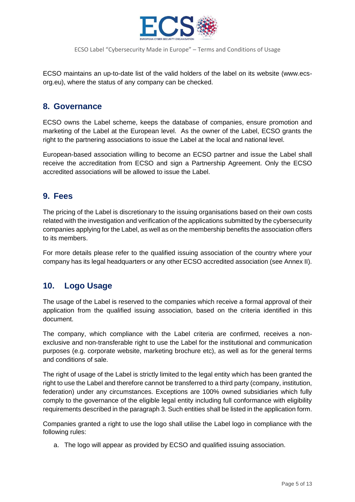

ECSO maintains an up-to-date list of the valid holders of the label on its website (www.ecsorg.eu), where the status of any company can be checked.

### **8. Governance**

ECSO owns the Label scheme, keeps the database of companies, ensure promotion and marketing of the Label at the European level. As the owner of the Label, ECSO grants the right to the partnering associations to issue the Label at the local and national level.

European-based association willing to become an ECSO partner and issue the Label shall receive the accreditation from ECSO and sign a Partnership Agreement. Only the ECSO accredited associations will be allowed to issue the Label.

### **9. Fees**

The pricing of the Label is discretionary to the issuing organisations based on their own costs related with the investigation and verification of the applications submitted by the cybersecurity companies applying for the Label, as well as on the membership benefits the association offers to its members.

For more details please refer to the qualified issuing association of the country where your company has its legal headquarters or any other ECSO accredited association (see Annex II).

### **10. Logo Usage**

The usage of the Label is reserved to the companies which receive a formal approval of their application from the qualified issuing association, based on the criteria identified in this document.

The company, which compliance with the Label criteria are confirmed, receives a nonexclusive and non-transferable right to use the Label for the institutional and communication purposes (e.g. corporate website, marketing brochure etc), as well as for the general terms and conditions of sale.

The right of usage of the Label is strictly limited to the legal entity which has been granted the right to use the Label and therefore cannot be transferred to a third party (company, institution, federation) under any circumstances. Exceptions are 100% owned subsidiaries which fully comply to the governance of the eligible legal entity including full conformance with eligibility requirements described in the paragraph 3. Such entities shall be listed in the application form.

Companies granted a right to use the logo shall utilise the Label logo in compliance with the following rules:

a. The logo will appear as provided by ECSO and qualified issuing association.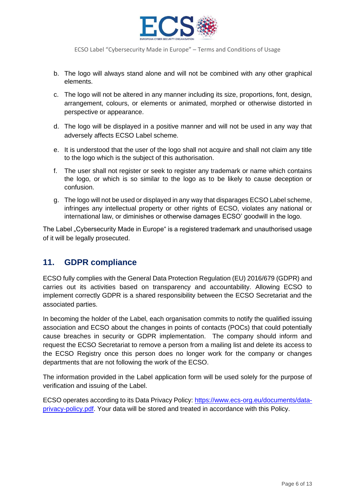

- b. The logo will always stand alone and will not be combined with any other graphical elements.
- c. The logo will not be altered in any manner including its size, proportions, font, design, arrangement, colours, or elements or animated, morphed or otherwise distorted in perspective or appearance.
- d. The logo will be displayed in a positive manner and will not be used in any way that adversely affects ECSO Label scheme.
- e. It is understood that the user of the logo shall not acquire and shall not claim any title to the logo which is the subject of this authorisation.
- f. The user shall not register or seek to register any trademark or name which contains the logo, or which is so similar to the logo as to be likely to cause deception or confusion.
- g. The logo will not be used or displayed in any way that disparages ECSO Label scheme, infringes any intellectual property or other rights of ECSO, violates any national or international law, or diminishes or otherwise damages ECSO' goodwill in the logo.

The Label "Cybersecurity Made in Europe" is a registered trademark and unauthorised usage of it will be legally prosecuted.

### **11. GDPR compliance**

ECSO fully complies with the General Data Protection Regulation (EU) 2016/679 (GDPR) and carries out its activities based on transparency and accountability. Allowing ECSO to implement correctly GDPR is a shared responsibility between the ECSO Secretariat and the associated parties.

In becoming the holder of the Label, each organisation commits to notify the qualified issuing association and ECSO about the changes in points of contacts (POCs) that could potentially cause breaches in security or GDPR implementation. The company should inform and request the ECSO Secretariat to remove a person from a mailing list and delete its access to the ECSO Registry once this person does no longer work for the company or changes departments that are not following the work of the ECSO.

The information provided in the Label application form will be used solely for the purpose of verification and issuing of the Label.

ECSO operates according to its Data Privacy Policy: [https://www.ecs-org.eu/documents/data](https://www.ecs-org.eu/documents/data-privacy-policy.pdf)[privacy-policy.pdf.](https://www.ecs-org.eu/documents/data-privacy-policy.pdf) Your data will be stored and treated in accordance with this Policy.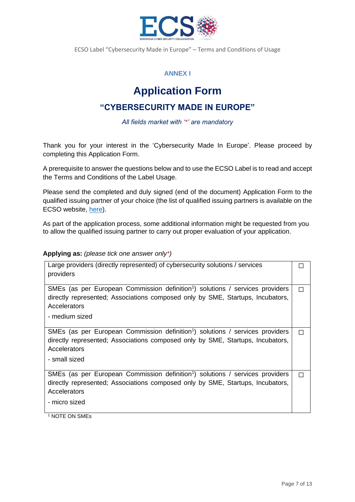

### **ANNEX I**

# **Application Form**

### **"CYBERSECURITY MADE IN EUROPE"**

*All fields market with '\*' are mandatory*

Thank you for your interest in the 'Cybersecurity Made In Europe'. Please proceed by completing this Application Form.

A prerequisite to answer the questions below and to use the ECSO Label is to read and accept the Terms and Conditions of the Label Usage.

Please send the completed and duly signed (end of the document) Application Form to the qualified issuing partner of your choice (the list of qualified issuing partners is available on the ECSO website, [here\)](https://www.ecs-org.eu/).

As part of the application process, some additional information might be requested from you to allow the qualified issuing partner to carry out proper evaluation of your application.

#### **Applying as:** *(please tick one answer only\*)*

| Large providers (directly represented) of cybersecurity solutions / services<br>providers                                                                                                                     |   |
|---------------------------------------------------------------------------------------------------------------------------------------------------------------------------------------------------------------|---|
| SMEs (as per European Commission definition <sup>1</sup> ) solutions / services providers<br>directly represented; Associations composed only by SME, Startups, Incubators,<br>Accelerators<br>- medium sized | П |
| SMEs (as per European Commission definition <sup>1</sup> ) solutions / services providers<br>directly represented; Associations composed only by SME, Startups, Incubators,<br>Accelerators<br>- small sized  |   |
| SMEs (as per European Commission definition <sup>1</sup> ) solutions / services providers<br>directly represented; Associations composed only by SME, Startups, Incubators,<br>Accelerators<br>- micro sized  | П |

<sup>1</sup> NOTE ON SMEs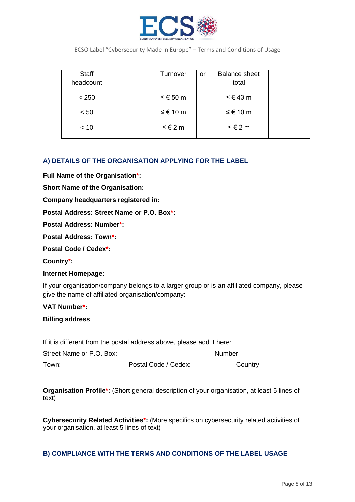

| Staff     | Turnover | or | <b>Balance sheet</b> |  |
|-----------|----------|----|----------------------|--|
| headcount |          |    | total                |  |
| < 250     | ≤ € 50 m |    | ≤ € 43 m             |  |
| < 50      | ≤ € 10 m |    | ≤ € 10 m             |  |
| < 10      | ≤ € 2 m  |    | ≤ € 2 m              |  |

#### **A) DETAILS OF THE ORGANISATION APPLYING FOR THE LABEL**

**Full Name of the Organisation\*:**

**Short Name of the Organisation:**

**Company headquarters registered in:** 

**Postal Address: Street Name or P.O. Box\*:**

**Postal Address: Number\*:**

**Postal Address: Town\*:**

**Postal Code / Cedex\*:**

**Country\*:**

#### **Internet Homepage:**

If your organisation/company belongs to a larger group or is an affiliated company, please give the name of affiliated organisation/company:

#### **VAT Number\*:**

#### **Billing address**

If it is different from the postal address above, please add it here:

| Street Name or P.O. Box: |                      | Number:  |
|--------------------------|----------------------|----------|
| Town:                    | Postal Code / Cedex: | Country: |

**Organisation Profile\*:** (Short general description of your organisation, at least 5 lines of text)

**Cybersecurity Related Activities\*:** (More specifics on cybersecurity related activities of your organisation, at least 5 lines of text)

#### **B) COMPLIANCE WITH THE TERMS AND CONDITIONS OF THE LABEL USAGE**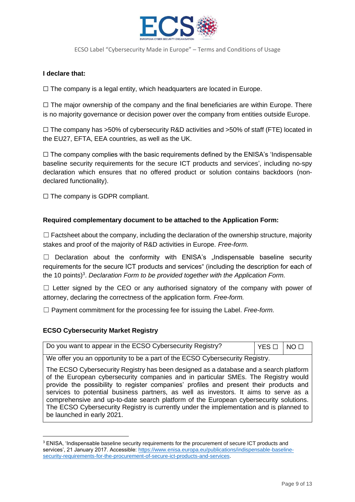

#### **I declare that:**

 $\Box$  The company is a legal entity, which headquarters are located in Europe.

 $\Box$  The major ownership of the company and the final beneficiaries are within Europe. There is no majority governance or decision power over the company from entities outside Europe.

 $\Box$  The company has >50% of cybersecurity R&D activities and >50% of staff (FTE) located in the EU27, EFTA, EEA countries, as well as the UK.

 $\Box$  The company complies with the basic requirements defined by the ENISA's 'Indispensable baseline security requirements for the secure ICT products and services', including no-spy declaration which ensures that no offered product or solution contains backdoors (nondeclared functionality).

 $\Box$  The company is GDPR compliant.

#### **Required complementary document to be attached to the Application Form:**

 $\Box$  Factsheet about the company, including the declaration of the ownership structure, majority stakes and proof of the majority of R&D activities in Europe. *Free-form.*

 $\Box$  Declaration about the conformity with ENISA's "Indispensable baseline security requirements for the secure ICT products and services" (including the description for each of the 10 points)<sup>3</sup>. Declaration Form to be provided together with the Application Form.

 $\Box$  Letter signed by the CEO or any authorised signatory of the company with power of attorney, declaring the correctness of the application form. *Free-form.*

☐ Payment commitment for the processing fee for issuing the Label. *Free-form.*

#### **ECSO Cybersecurity Market Registry**

|  | Do you want to appear in the ECSO Cybersecurity Registry?<br>$YES \Box$ NO $\Box$ |
|--|-----------------------------------------------------------------------------------|
|--|-----------------------------------------------------------------------------------|

We offer you an opportunity to be a part of the ECSO Cybersecurity Registry.

The ECSO Cybersecurity Registry has been designed as a database and a search platform of the European cybersecurity companies and in particular SMEs. The Registry would provide the possibility to register companies' profiles and present their products and services to potential business partners, as well as investors. It aims to serve as a comprehensive and up-to-date search platform of the European cybersecurity solutions. The ECSO Cybersecurity Registry is currently under the implementation and is planned to be launched in early 2021.

<sup>&</sup>lt;sup>3</sup> ENISA, 'Indispensable baseline security requirements for the procurement of secure ICT products and services', 21 January 2017. Accessible: [https://www.enisa.europa.eu/publications/indispensable-baseline](https://www.enisa.europa.eu/publications/indispensable-baseline-security-requirements-for-the-procurement-of-secure-ict-products-and-services)[security-requirements-for-the-procurement-of-secure-ict-products-and-services.](https://www.enisa.europa.eu/publications/indispensable-baseline-security-requirements-for-the-procurement-of-secure-ict-products-and-services)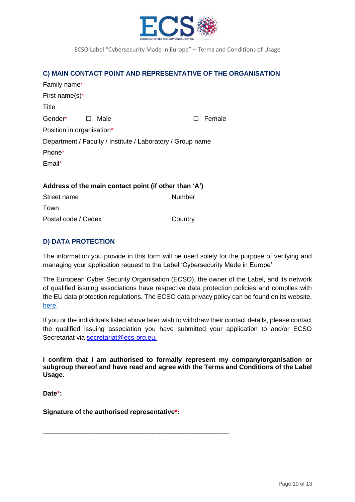

#### **C) MAIN CONTACT POINT AND REPRESENTATIVE OF THE ORGANISATION**

| Family name*                                               |                |  |        |  |
|------------------------------------------------------------|----------------|--|--------|--|
| First name(s) $*$                                          |                |  |        |  |
| Title                                                      |                |  |        |  |
| Gender*                                                    | Male<br>$\Box$ |  | Female |  |
| Position in organisation*                                  |                |  |        |  |
| Department / Faculty / Institute / Laboratory / Group name |                |  |        |  |
| Phone*                                                     |                |  |        |  |
| Email*                                                     |                |  |        |  |
|                                                            |                |  |        |  |

#### **Address of the main contact point (if other than 'A')**

| Street name         | Number  |
|---------------------|---------|
| Town                |         |
| Postal code / Cedex | Country |

#### **D) DATA PROTECTION**

The information you provide in this form will be used solely for the purpose of verifying and managing your application request to the Label 'Cybersecurity Made in Europe'.

The European Cyber Security Organisation (ECSO), the owner of the Label, and its network of qualified issuing associations have respective data protection policies and complies with the EU data protection regulations. The ECSO data privacy policy can be found on its website, [here.](https://www.ecs-org.eu/documents/data-privacy-policy.pdf)

If you or the individuals listed above later wish to withdraw their contact details, please contact the qualified issuing association you have submitted your application to and/or ECSO Secretariat via [secretariat@ecs-org.eu.](mailto:secretariat@ecs-org.eu)

**I confirm that I am authorised to formally represent my company/organisation or subgroup thereof and have read and agree with the Terms and Conditions of the Label Usage.**

**Date\*:**

**Signature of the authorised representative\*:**

**\_\_\_\_\_\_\_\_\_\_\_\_\_\_\_\_\_\_\_\_\_\_\_\_\_\_\_\_\_\_\_\_\_\_\_\_\_\_\_\_\_\_\_\_\_\_\_\_\_\_\_**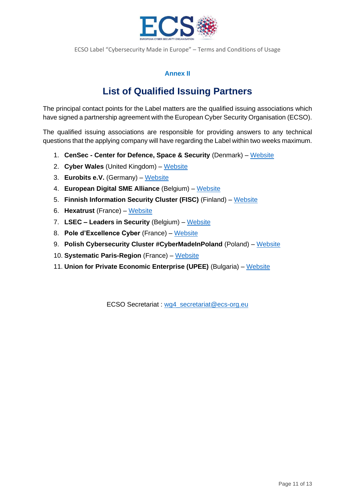

### **Annex II**

## **List of Qualified Issuing Partners**

The principal contact points for the Label matters are the qualified issuing associations which have signed a partnership agreement with the European Cyber Security Organisation (ECSO).

The qualified issuing associations are responsible for providing answers to any technical questions that the applying company will have regarding the Label within two weeks maximum.

- 1. **CenSec - Center for Defence, Space & Security** (Denmark) [Website](https://censec.dk/en/)
- 2. **Cyber Wales** (United Kingdom) [Website](https://cyberwales.net/)
- 3. **Eurobits e.V.** (Germany) [Website](https://www.eurobits.de/)
- 4. **European Digital SME Alliance** (Belgium) [Website](https://www.digitalsme.eu/)
- 5. **Finnish Information Security Cluster (FISC)** (Finland) [Website](https://www.fisc.fi/)
- 6. **Hexatrust** (France) [Website](https://www.hexatrust.com/?lang=en)
- 7. **LSEC – Leaders in Security** (Belgium) [Website](https://www.leadersinsecurity.org/)
- 8. **Pole d'Excellence Cyber** (France) [Website](https://www.pole-excellence-cyber.org/)
- 9. **Polish Cybersecurity Cluster #CyberMadeInPoland** (Poland) [Website](https://cybermadeinpoland.pl/)
- 10. **Systematic Paris-Region** (France) [Website](https://systematic-paris-region.org/)
- 11. **Union for Private Economic Enterprise (UPEE)** (Bulgaria) [Website](https://www.ssibg.org/)

ECSO Secretariat : [wg4\\_secretariat@ecs-org.eu](mailto:wg4_secretariat@ecs-org.eu)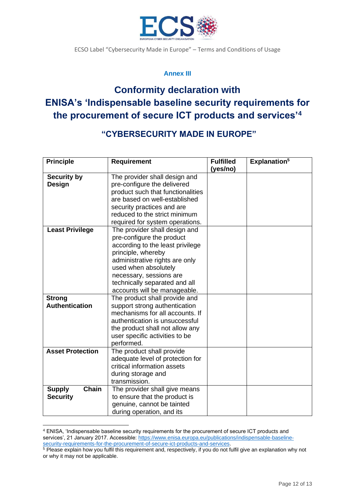

#### **Annex III**

# **Conformity declaration with ENISA's 'Indispensable baseline security requirements for the procurement of secure ICT products and services'<sup>4</sup>**

### **"CYBERSECURITY MADE IN EUROPE"**

| <b>Principle</b>                          | <b>Requirement</b>                                                                                                        | <b>Fulfilled</b><br>(yes/no) | Explanation <sup>5</sup> |
|-------------------------------------------|---------------------------------------------------------------------------------------------------------------------------|------------------------------|--------------------------|
| <b>Security by</b>                        | The provider shall design and                                                                                             |                              |                          |
| Design                                    | pre-configure the delivered                                                                                               |                              |                          |
|                                           | product such that functionalities                                                                                         |                              |                          |
|                                           | are based on well-established                                                                                             |                              |                          |
|                                           |                                                                                                                           |                              |                          |
|                                           | security practices and are<br>reduced to the strict minimum                                                               |                              |                          |
|                                           |                                                                                                                           |                              |                          |
| <b>Least Privilege</b>                    | required for system operations.<br>The provider shall design and                                                          |                              |                          |
|                                           | pre-configure the product                                                                                                 |                              |                          |
|                                           | according to the least privilege                                                                                          |                              |                          |
|                                           | principle, whereby                                                                                                        |                              |                          |
|                                           | administrative rights are only                                                                                            |                              |                          |
|                                           | used when absolutely                                                                                                      |                              |                          |
|                                           | necessary, sessions are                                                                                                   |                              |                          |
|                                           | technically separated and all                                                                                             |                              |                          |
|                                           | accounts will be manageable.                                                                                              |                              |                          |
| <b>Strong</b>                             | The product shall provide and                                                                                             |                              |                          |
| <b>Authentication</b>                     | support strong authentication                                                                                             |                              |                          |
|                                           | mechanisms for all accounts. If                                                                                           |                              |                          |
|                                           | authentication is unsuccessful                                                                                            |                              |                          |
|                                           |                                                                                                                           |                              |                          |
|                                           | the product shall not allow any<br>user specific activities to be                                                         |                              |                          |
|                                           | performed.                                                                                                                |                              |                          |
| <b>Asset Protection</b>                   | The product shall provide                                                                                                 |                              |                          |
|                                           | adequate level of protection for                                                                                          |                              |                          |
|                                           | critical information assets                                                                                               |                              |                          |
|                                           | during storage and                                                                                                        |                              |                          |
|                                           | transmission.                                                                                                             |                              |                          |
|                                           |                                                                                                                           |                              |                          |
|                                           |                                                                                                                           |                              |                          |
|                                           |                                                                                                                           |                              |                          |
|                                           |                                                                                                                           |                              |                          |
| Chain<br><b>Supply</b><br><b>Security</b> | The provider shall give means<br>to ensure that the product is<br>genuine, cannot be tainted<br>during operation, and its |                              |                          |

<sup>4</sup> ENISA, 'Indispensable baseline security requirements for the procurement of secure ICT products and services', 21 January 2017. Accessible: [https://www.enisa.europa.eu/publications/indispensable-baseline](https://www.enisa.europa.eu/publications/indispensable-baseline-security-requirements-for-the-procurement-of-secure-ict-products-and-services)[security-requirements-for-the-procurement-of-secure-ict-products-and-services.](https://www.enisa.europa.eu/publications/indispensable-baseline-security-requirements-for-the-procurement-of-secure-ict-products-and-services)

<sup>5</sup> Please explain how you fulfil this requirement and, respectively, if you do not fulfil give an explanation why not or why it may not be applicable.